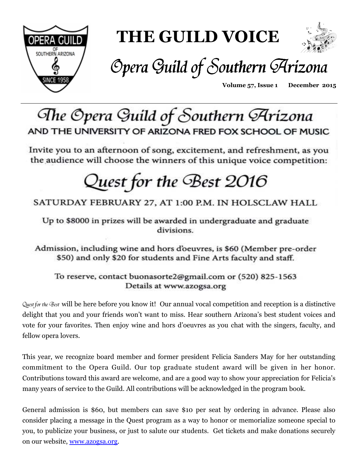

# **THE GUILD VOICE**



# Opera Guild of Southern Arizona

**Volume 57, Issue 1 December 2015** 

# The Opera Guild of Southern Arizona AND THE UNIVERSITY OF ARIZONA FRED FOX SCHOOL OF MUSIC

Invite you to an afternoon of song, excitement, and refreshment, as you the audience will choose the winners of this unique voice competition:

# Quest for the Best 2016

### SATURDAY FEBRUARY 27, AT 1:00 P.M. IN HOLSCLAW HALL

Up to \$8000 in prizes will be awarded in undergraduate and graduate divisions.

Admission, including wine and hors d'oeuvres, is \$60 (Member pre-order \$50) and only \$20 for students and Fine Arts faculty and staff.

To reserve, contact buonasorte2@gmail.com or (520) 825-1563 Details at www.azogsa.org

Quest for the Best will be here before you know it! Our annual vocal competition and reception is a distinctive delight that you and your friends won't want to miss. Hear southern Arizona's best student voices and vote for your favorites. Then enjoy wine and hors d'oeuvres as you chat with the singers, faculty, and fellow opera lovers.

This year, we recognize board member and former president Felicia Sanders May for her outstanding commitment to the Opera Guild. Our top graduate student award will be given in her honor. Contributions toward this award are welcome, and are a good way to show your appreciation for Felicia's many years of service to the Guild. All contributions will be acknowledged in the program book.

General admission is \$60, but members can save \$10 per seat by ordering in advance. Please also consider placing a message in the Quest program as a way to honor or memorialize someone special to you, to publicize your business, or just to salute our students. Get tickets and make donations securely on our website, www.azogsa.org.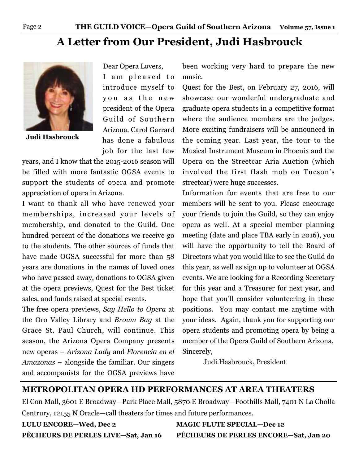# **A Letter from Our President, Judi Hasbrouck**



**Judi Hasbrouck** 

Dear Opera Lovers, I am pleased to introduce myself to you as the new president of the Opera Guild of Southern Arizona. Carol Garrard has done a fabulous job for the last few

years, and I know that the 2015-2016 season will be filled with more fantastic OGSA events to support the students of opera and promote appreciation of opera in Arizona.

I want to thank all who have renewed your memberships, increased your levels of membership, and donated to the Guild. One hundred percent of the donations we receive go to the students. The other sources of funds that have made OGSA successful for more than 58 years are donations in the names of loved ones who have passed away, donations to OGSA given at the opera previews, Quest for the Best ticket sales, and funds raised at special events.

The free opera previews, *Say Hello to Opera* at the Oro Valley Library and *Brown Bag* at the Grace St. Paul Church, will continue. This season, the Arizona Opera Company presents new operas – *Arizona Lady* and *Florencia en el Amazonas* – alongside the familiar. Our singers and accompanists for the OGSA previews have

been working very hard to prepare the new music.

Quest for the Best, on February 27, 2016, will showcase our wonderful undergraduate and graduate opera students in a competitive format where the audience members are the judges. More exciting fundraisers will be announced in the coming year. Last year, the tour to the Musical Instrument Museum in Phoenix and the Opera on the Streetcar Aria Auction (which involved the first flash mob on Tucson's streetcar) were huge successes.

Information for events that are free to our members will be sent to you. Please encourage your friends to join the Guild, so they can enjoy opera as well. At a special member planning meeting (date and place TBA early in 2016), you will have the opportunity to tell the Board of Directors what you would like to see the Guild do this year, as well as sign up to volunteer at OGSA events. We are looking for a Recording Secretary for this year and a Treasurer for next year, and hope that you'll consider volunteering in these positions. You may contact me anytime with your ideas. Again, thank you for supporting our opera students and promoting opera by being a member of the Opera Guild of Southern Arizona. Sincerely,

Judi Hasbrouck, President

#### **METROPOLITAN OPERA HD PERFORMANCES AT AREA THEATERS**

El Con Mall, 3601 E Broadway—Park Place Mall, 5870 E Broadway—Foothills Mall, 7401 N La Cholla Centrury, 12155 N Oracle—call theaters for times and future performances.

**LULU ENCORE—Wed, Dec 2 MAGIC FLUTE SPECIAL—Dec 12 PÊCHEURS DE PERLES LIVE—Sat, Jan 16 PÊCHEURS DE PERLES ENCORE—Sat, Jan 20**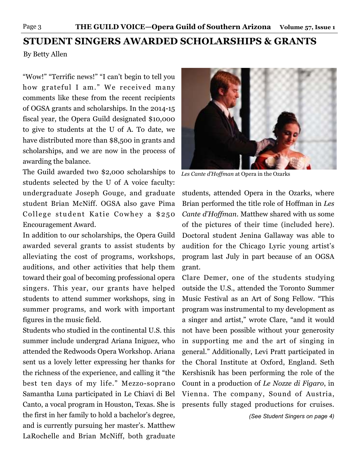# **STUDENT SINGERS AWARDED SCHOLARSHIPS & GRANTS**

By Betty Allen

"Wow!" "Terrific news!" "I can't begin to tell you how grateful I am." We received many comments like these from the recent recipients of OGSA grants and scholarships. In the 2014-15 fiscal year, the Opera Guild designated \$10,000 to give to students at the U of A. To date, we have distributed more than \$8,500 in grants and scholarships, and we are now in the process of awarding the balance.

The Guild awarded two \$2,000 scholarships to students selected by the U of A voice faculty: undergraduate Joseph Gouge, and graduate student Brian McNiff. OGSA also gave Pima College student Katie Cowhey a \$250 Encouragement Award.

In addition to our scholarships, the Opera Guild awarded several grants to assist students by alleviating the cost of programs, workshops, auditions, and other activities that help them toward their goal of becoming professional opera singers. This year, our grants have helped students to attend summer workshops, sing in summer programs, and work with important figures in the music field.

Students who studied in the continental U.S. this summer include undergrad Ariana Iniguez, who attended the Redwoods Opera Workshop. Ariana sent us a lovely letter expressing her thanks for the richness of the experience, and calling it "the best ten days of my life." Mezzo-soprano Samantha Luna participated in Le Chiavi di Bel Canto, a vocal program in Houston, Texas. She is the first in her family to hold a bachelor's degree, and is currently pursuing her master's. Matthew LaRochelle and Brian McNiff, both graduate



*Les Cante d'Hoffman* at Opera in the Ozarks

students, attended Opera in the Ozarks, where Brian performed the title role of Hoffman in *Les Cante d'Hoffman*. Matthew shared with us some of the pictures of their time (included here). Doctoral student Jenina Gallaway was able to audition for the Chicago Lyric young artist's program last July in part because of an OGSA grant.

Clare Demer, one of the students studying outside the U.S., attended the Toronto Summer Music Festival as an Art of Song Fellow. "This program was instrumental to my development as a singer and artist," wrote Clare, "and it would not have been possible without your generosity in supporting me and the art of singing in general." Additionally, Levi Pratt participated in the Choral Institute at Oxford, England. Seth Kershisnik has been performing the role of the Count in a production of *Le Nozze di Figaro*, in Vienna. The company, Sound of Austria, presents fully staged productions for cruises.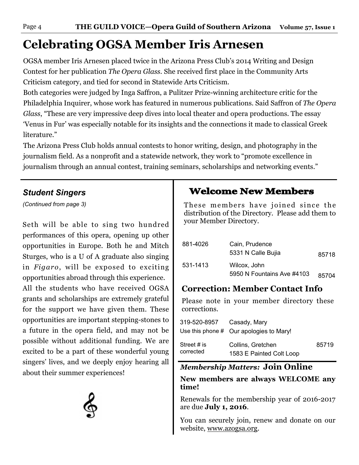# **Celebrating OGSA Member Iris Arnesen**

OGSA member Iris Arnesen placed twice in the Arizona Press Club's 2014 Writing and Design Contest for her publication *The Opera Glass*. She received first place in the Community Arts Criticism category, and tied for second in Statewide Arts Criticism.

Both categories were judged by Inga Saffron, a Pulitzer Prize-winning architecture critic for the Philadelphia Inquirer, whose work has featured in numerous publications. Said Saffron of *The Opera Glass*, "These are very impressive deep dives into local theater and opera productions. The essay 'Venus in Fur' was especially notable for its insights and the connections it made to classical Greek literature."

The Arizona Press Club holds annual contests to honor writing, design, and photography in the journalism field. As a nonprofit and a statewide network, they work to "promote excellence in journalism through an annual contest, training seminars, scholarships and networking events."

#### *Student Singers*

*(Continued from page 3)*

Seth will be able to sing two hundred performances of this opera, opening up other opportunities in Europe. Both he and Mitch Sturges, who is a U of A graduate also singing in *Figaro*, will be exposed to exciting opportunities abroad through this experience.

All the students who have received OGSA grants and scholarships are extremely grateful for the support we have given them. These opportunities are important stepping-stones to a future in the opera field, and may not be possible without additional funding. We are excited to be a part of these wonderful young singers' lives, and we deeply enjoy hearing all about their summer experiences!



## **Welcome New Members**

These members have joined since the distribution of the Directory. Please add them to your Member Directory.

| 881-4026 | Cain, Prudence<br>5331 N Calle Bujia       | 85718 |
|----------|--------------------------------------------|-------|
| 531-1413 | Wilcox, John<br>5950 N Fountains Ave #4103 | 85704 |

### **Correction: Member Contact Info**

Please note in your member directory these corrections.

| 319-520-8957             | Casady, Mary                                  |       |
|--------------------------|-----------------------------------------------|-------|
|                          | Use this phone # Our apologies to Mary!       |       |
| Street # is<br>corrected | Collins, Gretchen<br>1583 E Painted Colt Loop | 85719 |

#### *Membership Matters:* **Join Online**

#### **New members are always WELCOME any time!**

Renewals for the membership year of 2016-2017 are due **July 1, 2016**.

You can securely join, renew and donate on our website, www.azogsa.org.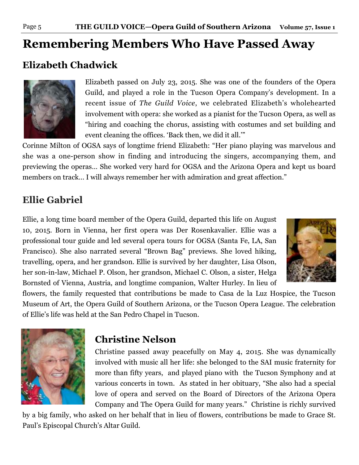# **Remembering Members Who Have Passed Away**

# **Elizabeth Chadwick**



Elizabeth passed on July 23, 2015. She was one of the founders of the Opera Guild, and played a role in the Tucson Opera Company's development. In a recent issue of *The Guild Voice*, we celebrated Elizabeth's wholehearted involvement with opera: she worked as a pianist for the Tucson Opera, as well as "hiring and coaching the chorus, assisting with costumes and set building and event cleaning the offices. 'Back then, we did it all.'"

Corinne Milton of OGSA says of longtime friend Elizabeth: "Her piano playing was marvelous and she was a one-person show in finding and introducing the singers, accompanying them, and previewing the operas… She worked very hard for OGSA and the Arizona Opera and kept us board members on track… I will always remember her with admiration and great affection."

## **Ellie Gabriel**

Ellie, a long time board member of the Opera Guild, departed this life on August 10, 2015. Born in Vienna, her first opera was Der Rosenkavalier. Ellie was a professional tour guide and led several opera tours for OGSA (Santa Fe, LA, San Francisco). She also narrated several "Brown Bag" previews. She loved hiking, travelling, opera, and her grandson. Ellie is survived by her daughter, Lisa Olson, her son-in-law, Michael P. Olson, her grandson, Michael C. Olson, a sister, Helga Bornsted of Vienna, Austria, and longtime companion, Walter Hurley. In lieu of



flowers, the family requested that contributions be made to Casa de la Luz Hospice, the Tucson Museum of Art, the Opera Guild of Southern Arizona, or the Tucson Opera League. The celebration of Ellie's life was held at the San Pedro Chapel in Tucson.



### **Christine Nelson**

Christine passed away peacefully on May 4, 2015. She was dynamically involved with music all her life: she belonged to the SAI music fraternity for more than fifty years, and played piano with the Tucson Symphony and at various concerts in town. As stated in her obituary, "She also had a special love of opera and served on the Board of Directors of the Arizona Opera Company and The Opera Guild for many years." Christine is richly survived

by a big family, who asked on her behalf that in lieu of flowers, contributions be made to Grace St. Paul's Episcopal Church's Altar Guild.